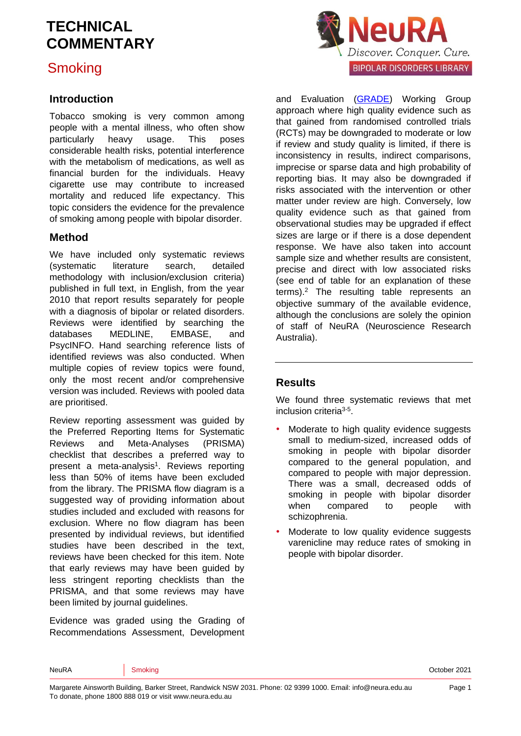## **Smoking**

### **Introduction**

Tobacco smoking is very common among people with a mental illness, who often show particularly heavy usage. This poses considerable health risks, potential interference with the metabolism of medications, as well as financial burden for the individuals. Heavy cigarette use may contribute to increased mortality and reduced life expectancy. This topic considers the evidence for the prevalence of smoking among people with bipolar disorder.

### **Method**

We have included only systematic reviews (systematic literature search, detailed methodology with inclusion/exclusion criteria) published in full text, in English, from the year 2010 that report results separately for people with a diagnosis of bipolar or related disorders. Reviews were identified by searching the databases MEDLINE, EMBASE, and PsycINFO. Hand searching reference lists of identified reviews was also conducted. When multiple copies of review topics were found, only the most recent and/or comprehensive version was included. Reviews with pooled data are prioritised.

Review reporting assessment was guided by the Preferred Reporting Items for Systematic Reviews and Meta-Analyses (PRISMA) checklist that describes a preferred way to present a meta-analysis<sup>[1](#page-6-0)</sup>. Reviews reporting less than 50% of items have been excluded from the library. The PRISMA flow diagram is a suggested way of providing information about studies included and excluded with reasons for exclusion. Where no flow diagram has been presented by individual reviews, but identified studies have been described in the text, reviews have been checked for this item. Note that early reviews may have been guided by less stringent reporting checklists than the PRISMA, and that some reviews may have been limited by journal guidelines.

Evidence was graded using the Grading of Recommendations Assessment, Development



and Evaluation [\(GRADE\)](http://www.gradeworkinggroup.org/) Working Group approach where high quality evidence such as that gained from randomised controlled trials (RCTs) may be downgraded to moderate or low if review and study quality is limited, if there is inconsistency in results, indirect comparisons, imprecise or sparse data and high probability of reporting bias. It may also be downgraded if risks associated with the intervention or other matter under review are high. Conversely, low quality evidence such as that gained from observational studies may be upgraded if effect sizes are large or if there is a dose dependent response. We have also taken into account sample size and whether results are consistent, precise and direct with low associated risks (see end of table for an explanation of these terms). [2](#page-6-1) The resulting table represents an objective summary of the available evidence, although the conclusions are solely the opinion of staff of NeuRA (Neuroscience Research Australia).

### **Results**

We found three systematic reviews that met inclusion criteria<sup>[3-5](#page-6-2)</sup>.

- Moderate to high quality evidence suggests small to medium-sized, increased odds of smoking in people with bipolar disorder compared to the general population, and compared to people with major depression. There was a small, decreased odds of smoking in people with bipolar disorder when compared to people with schizophrenia.
- Moderate to low quality evidence suggests varenicline may reduce rates of smoking in people with bipolar disorder.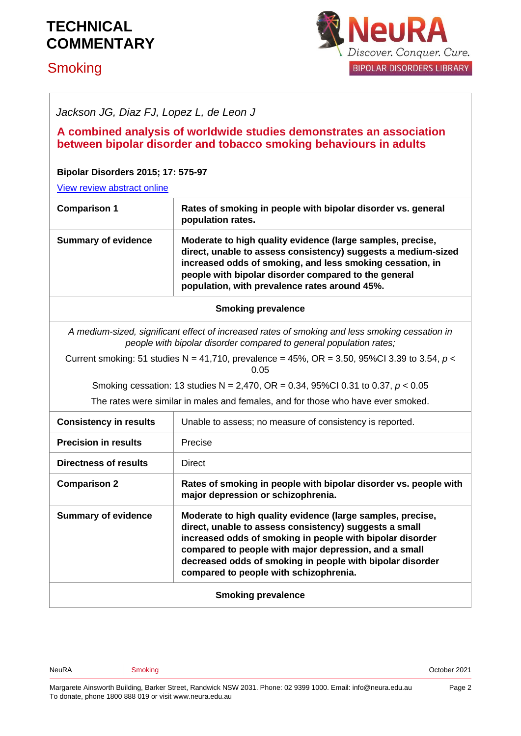# **Smoking**



*Jackson JG, Diaz FJ, Lopez L, de Leon J* 

**A combined analysis of worldwide studies demonstrates an association between bipolar disorder and tobacco smoking behaviours in adults** 

#### **Bipolar Disorders 2015; 17: 575-97**

[View review abstract online](https://www.ncbi.nlm.nih.gov/pubmed/26238269)

| <b>Comparison 1</b>        | Rates of smoking in people with bipolar disorder vs. general<br>population rates.                                                                                                                                                                                                                 |
|----------------------------|---------------------------------------------------------------------------------------------------------------------------------------------------------------------------------------------------------------------------------------------------------------------------------------------------|
| <b>Summary of evidence</b> | Moderate to high quality evidence (large samples, precise,<br>direct, unable to assess consistency) suggests a medium-sized<br>increased odds of smoking, and less smoking cessation, in<br>people with bipolar disorder compared to the general<br>population, with prevalence rates around 45%. |
|                            | <b>Smoking prevalence</b>                                                                                                                                                                                                                                                                         |
|                            | A medium-sized, significant effect of increased rates of smoking and less smoking cessation in<br>people with bipolar disorder compared to general population rates;                                                                                                                              |
|                            | O DEL EL PEL PEL NE HEL PARTIE DE HEAL OD DE OFALOJO O LO PARTI                                                                                                                                                                                                                                   |

Current smoking: 51 studies N = 41,710, prevalence = 45%, OR = 3.50, 95%CI 3.39 to 3.54, *p* < 0.05

Smoking cessation: 13 studies N = 2,470, OR = 0.34, 95%CI 0.31 to 0.37, *p* < 0.05

The rates were similar in males and females, and for those who have ever smoked.

| <b>Consistency in results</b> | Unable to assess; no measure of consistency is reported.                                                                                                                                                                                                                                                                                          |
|-------------------------------|---------------------------------------------------------------------------------------------------------------------------------------------------------------------------------------------------------------------------------------------------------------------------------------------------------------------------------------------------|
| <b>Precision in results</b>   | Precise                                                                                                                                                                                                                                                                                                                                           |
| <b>Directness of results</b>  | <b>Direct</b>                                                                                                                                                                                                                                                                                                                                     |
| <b>Comparison 2</b>           | Rates of smoking in people with bipolar disorder vs. people with<br>major depression or schizophrenia.                                                                                                                                                                                                                                            |
| <b>Summary of evidence</b>    | Moderate to high quality evidence (large samples, precise,<br>direct, unable to assess consistency) suggests a small<br>increased odds of smoking in people with bipolar disorder<br>compared to people with major depression, and a small<br>decreased odds of smoking in people with bipolar disorder<br>compared to people with schizophrenia. |
| <b>Smoking prevalence</b>     |                                                                                                                                                                                                                                                                                                                                                   |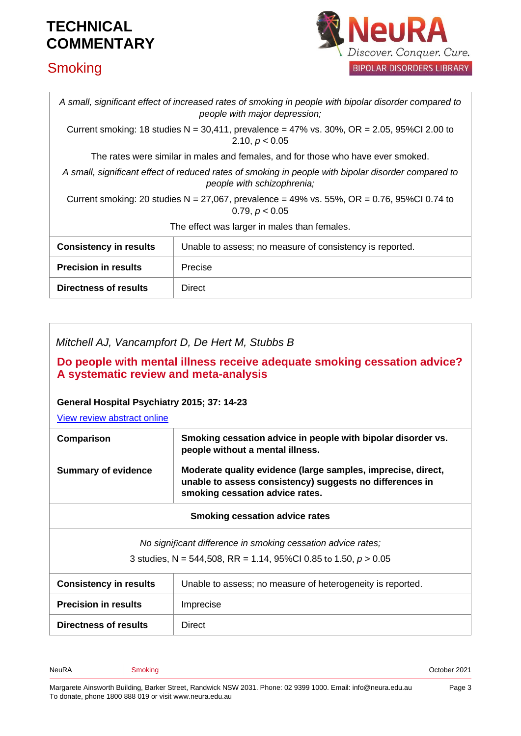# **Smoking**



| A small, significant effect of increased rates of smoking in people with bipolar disorder compared to<br>people with major depression; |                                                          |  |
|----------------------------------------------------------------------------------------------------------------------------------------|----------------------------------------------------------|--|
| Current smoking: 18 studies N = 30,411, prevalence = 47% vs. 30%, OR = 2.05, 95%Cl 2.00 to<br>2.10, $p < 0.05$                         |                                                          |  |
| The rates were similar in males and females, and for those who have ever smoked.                                                       |                                                          |  |
| A small, significant effect of reduced rates of smoking in people with bipolar disorder compared to<br>people with schizophrenia;      |                                                          |  |
| Current smoking: 20 studies N = 27,067, prevalence = 49% vs. 55%, OR = 0.76, 95%Cl 0.74 to<br>0.79, $p < 0.05$                         |                                                          |  |
| The effect was larger in males than females.                                                                                           |                                                          |  |
| <b>Consistency in results</b>                                                                                                          | Unable to assess; no measure of consistency is reported. |  |
| <b>Precision in results</b>                                                                                                            | Precise                                                  |  |
| Directness of results                                                                                                                  | <b>Direct</b>                                            |  |

| Mitchell AJ, Vancampfort D, De Hert M, Stubbs B |  |
|-------------------------------------------------|--|
|                                                 |  |

### **Do people with mental illness receive adequate smoking cessation advice? A systematic review and meta-analysis**

#### **General Hospital Psychiatry 2015; 37: 14-23**

[View review abstract online](https://www.ncbi.nlm.nih.gov/pubmed/25510845)

| Comparison                                                                                                                        | Smoking cessation advice in people with bipolar disorder vs.<br>people without a mental illness.                                                            |  |
|-----------------------------------------------------------------------------------------------------------------------------------|-------------------------------------------------------------------------------------------------------------------------------------------------------------|--|
| <b>Summary of evidence</b>                                                                                                        | Moderate quality evidence (large samples, imprecise, direct,<br>unable to assess consistency) suggests no differences in<br>smoking cessation advice rates. |  |
| <b>Smoking cessation advice rates</b>                                                                                             |                                                                                                                                                             |  |
| No significant difference in smoking cessation advice rates;<br>3 studies, N = 544,508, RR = 1.14, 95%CI 0.85 to 1.50, $p > 0.05$ |                                                                                                                                                             |  |
| <b>Consistency in results</b>                                                                                                     | Unable to assess; no measure of heterogeneity is reported.                                                                                                  |  |
| <b>Precision in results</b><br>Imprecise                                                                                          |                                                                                                                                                             |  |

| c<br>원 사<br>۰.<br>× |
|---------------------|
|---------------------|

**Directness of results** | Direct

NeuRA Coronal Smoking Smoking Communication of the Coronal Smoking Smoking Smoking Smoking Smoking Smoking Smoking Smoking Smoking Smoking Smoking Smoking Smoking Smoking Smoking Smoking Smoking Smoking Smoking Smoking Smo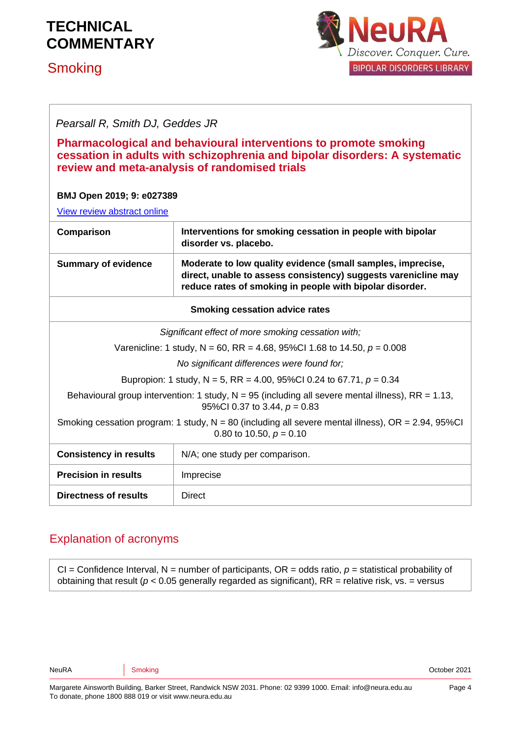## **Smoking**



### *Pearsall R, Smith DJ, Geddes JR*

#### **Pharmacological and behavioural interventions to promote smoking cessation in adults with schizophrenia and bipolar disorders: A systematic review and meta-analysis of randomised trials**

#### **BMJ Open 2019; 9: e027389**

[View review abstract online](https://pubmed.ncbi.nlm.nih.gov/31784428/)

| Comparison                                                                                                                            | Interventions for smoking cessation in people with bipolar<br>disorder vs. placebo.                                                                                                       |  |
|---------------------------------------------------------------------------------------------------------------------------------------|-------------------------------------------------------------------------------------------------------------------------------------------------------------------------------------------|--|
| <b>Summary of evidence</b>                                                                                                            | Moderate to low quality evidence (small samples, imprecise,<br>direct, unable to assess consistency) suggests varenicline may<br>reduce rates of smoking in people with bipolar disorder. |  |
| <b>Smoking cessation advice rates</b>                                                                                                 |                                                                                                                                                                                           |  |
| Significant effect of more smoking cessation with;                                                                                    |                                                                                                                                                                                           |  |
| Varenicline: 1 study, N = 60, RR = 4.68, 95%CI 1.68 to 14.50, $p = 0.008$                                                             |                                                                                                                                                                                           |  |
| No significant differences were found for;                                                                                            |                                                                                                                                                                                           |  |
| Bupropion: 1 study, N = 5, RR = 4.00, 95%Cl 0.24 to 67.71, $p = 0.34$                                                                 |                                                                                                                                                                                           |  |
| Behavioural group intervention: 1 study, $N = 95$ (including all severe mental illness), RR = 1.13,<br>95%Cl 0.37 to 3.44, $p = 0.83$ |                                                                                                                                                                                           |  |
| Smoking cessation program: 1 study, $N = 80$ (including all severe mental illness), $OR = 2.94$ , 95%CI<br>0.80 to 10.50, $p = 0.10$  |                                                                                                                                                                                           |  |
| <b>Consistency in results</b>                                                                                                         | N/A; one study per comparison.                                                                                                                                                            |  |
| <b>Precision in results</b>                                                                                                           | Imprecise                                                                                                                                                                                 |  |
| <b>Directness of results</b>                                                                                                          | Direct                                                                                                                                                                                    |  |

### Explanation of acronyms

 $CI =$  Confidence Interval,  $N =$  number of participants,  $OR =$  odds ratio,  $p =$  statistical probability of obtaining that result ( $p < 0.05$  generally regarded as significant), RR = relative risk, vs. = versus

NeuRA Coronal Smoking Smoking Communication of the Coronal Smoking Smoking Smoking Smoking Smoking Smoking Smoking Smoking Smoking Smoking Smoking Smoking Smoking Smoking Smoking Smoking Smoking Smoking Smoking Smoking Smo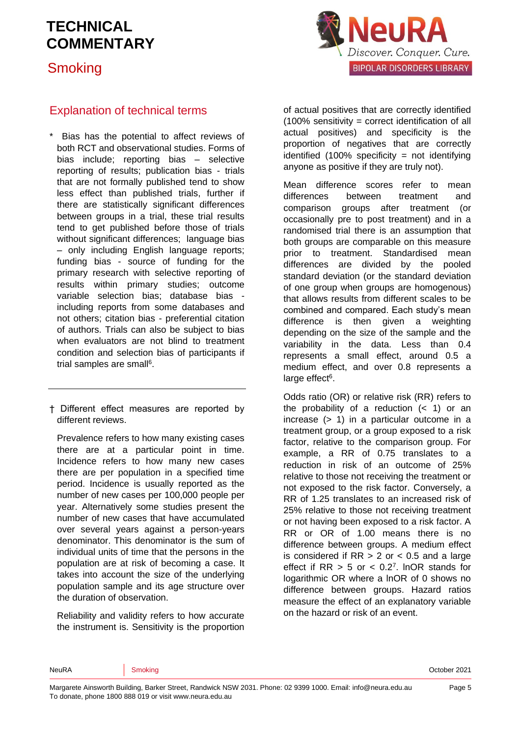**Smoking** 



### Explanation of technical terms

Bias has the potential to affect reviews of both RCT and observational studies. Forms of bias include; reporting bias – selective reporting of results; publication bias - trials that are not formally published tend to show less effect than published trials, further if there are statistically significant differences between groups in a trial, these trial results tend to get published before those of trials without significant differences; language bias – only including English language reports; funding bias - source of funding for the primary research with selective reporting of results within primary studies; outcome variable selection bias; database bias including reports from some databases and not others; citation bias - preferential citation of authors. Trials can also be subject to bias when evaluators are not blind to treatment condition and selection bias of participants if trial samples are sma[ll](#page-6-3)<sup>6</sup>.

† Different effect measures are reported by different reviews.

Prevalence refers to how many existing cases there are at a particular point in time. Incidence refers to how many new cases there are per population in a specified time period. Incidence is usually reported as the number of new cases per 100,000 people per year. Alternatively some studies present the number of new cases that have accumulated over several years against a person-years denominator. This denominator is the sum of individual units of time that the persons in the population are at risk of becoming a case. It takes into account the size of the underlying population sample and its age structure over the duration of observation.

Reliability and validity refers to how accurate the instrument is. Sensitivity is the proportion of actual positives that are correctly identified (100% sensitivity = correct identification of all actual positives) and specificity is the proportion of negatives that are correctly identified  $(100\%$  specificity = not identifying anyone as positive if they are truly not).

Mean difference scores refer to mean differences between treatment and comparison groups after treatment (or occasionally pre to post treatment) and in a randomised trial there is an assumption that both groups are comparable on this measure prior to treatment. Standardised mean differences are divided by the pooled standard deviation (or the standard deviation of one group when groups are homogenous) that allows results from different scales to be combined and compared. Each study's mean difference is then given a weighting depending on the size of the sample and the variability in the data. Less than 0.4 represents a small effect, around 0.5 a medium effect, and over 0.8 represents a large effect<sup>[6](#page-6-3)</sup>.

Odds ratio (OR) or relative risk (RR) refers to the probability of a reduction  $($   $<$  1) or an increase (> 1) in a particular outcome in a treatment group, or a group exposed to a risk factor, relative to the comparison group. For example, a RR of 0.75 translates to a reduction in risk of an outcome of 25% relative to those not receiving the treatment or not exposed to the risk factor. Conversely, a RR of 1.25 translates to an increased risk of 25% relative to those not receiving treatment or not having been exposed to a risk factor. A RR or OR of 1.00 means there is no difference between groups. A medium effect is considered if  $RR > 2$  or  $< 0.5$  and a large effect if  $RR > 5$  or  $< 0.2<sup>7</sup>$  $< 0.2<sup>7</sup>$  $< 0.2<sup>7</sup>$ . InOR stands for logarithmic OR where a lnOR of 0 shows no difference between groups. Hazard ratios measure the effect of an explanatory variable on the hazard or risk of an event.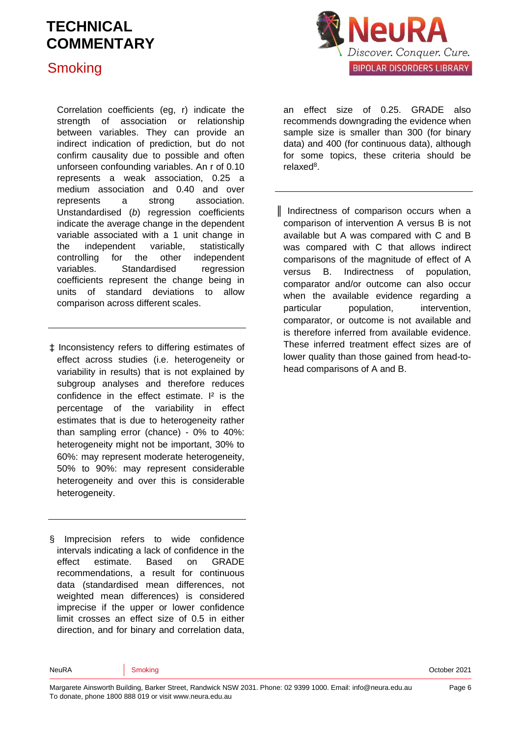## **Smoking**



Correlation coefficients (eg, r) indicate the strength of association or relationship between variables. They can provide an indirect indication of prediction, but do not confirm causality due to possible and often unforseen confounding variables. An r of 0.10 represents a weak association, 0.25 a medium association and 0.40 and over represents a strong association. Unstandardised (*b*) regression coefficients indicate the average change in the dependent variable associated with a 1 unit change in the independent variable, statistically controlling for the other independent variables. Standardised regression coefficients represent the change being in units of standard deviations to allow comparison across different scales.

‡ Inconsistency refers to differing estimates of effect across studies (i.e. heterogeneity or variability in results) that is not explained by subgroup analyses and therefore reduces confidence in the effect estimate. I² is the percentage of the variability in effect estimates that is due to heterogeneity rather than sampling error (chance) - 0% to 40%: heterogeneity might not be important, 30% to 60%: may represent moderate heterogeneity, 50% to 90%: may represent considerable heterogeneity and over this is considerable heterogeneity.

§ Imprecision refers to wide confidence intervals indicating a lack of confidence in the effect estimate. Based on GRADE recommendations, a result for continuous data (standardised mean differences, not weighted mean differences) is considered imprecise if the upper or lower confidence limit crosses an effect size of 0.5 in either direction, and for binary and correlation data, an effect size of 0.25. GRADE also recommends downgrading the evidence when sample size is smaller than 300 (for binary data) and 400 (for continuous data), although for some topics, these criteria should be relaxe[d](#page-6-5)<sup>8</sup>.

║ Indirectness of comparison occurs when a comparison of intervention A versus B is not available but A was compared with C and B was compared with C that allows indirect comparisons of the magnitude of effect of A versus B. Indirectness of population, comparator and/or outcome can also occur when the available evidence regarding a particular population, intervention, comparator, or outcome is not available and is therefore inferred from available evidence. These inferred treatment effect sizes are of lower quality than those gained from head-tohead comparisons of A and B.

Page 6